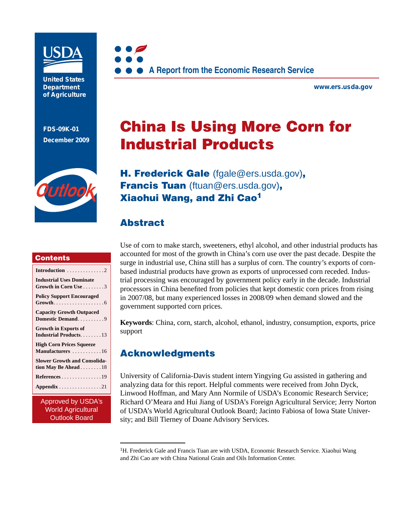

**United States Department of Agriculture** 

**FDS-09K-01 December 2009**



**www.ers.usda.gov** 

# China Is Using More Corn for Industrial Products



H. Frederick Gale [\(fgale@ers.usda.gov\)](mailto:fgale@ers.usda.gov), Francis Tuan [\(ftuan@ers.usda.gov\)](mailto:ftuan@ers.usda.gov), Xiaohui Wang, and Zhi Cao1

# Abstract

### **Contents**

| Introduction 2                              |
|---------------------------------------------|
| <b>Industrial Uses Dominate</b>             |
| Growth in Corn Use $\ldots \ldots$ . 3      |
| <b>Policy Support Encouraged</b>            |
|                                             |
| <b>Capacity Growth Outpaced</b>             |
| Domestic Demand9                            |
| <b>Growth in Exports of</b>                 |
| <b>Industrial Products13</b>                |
| <b>High Corn Prices Squeeze</b>             |
| Manufacturers 16                            |
| <b>Slower Growth and Consolida-</b>         |
| tion May Be Ahead $\ldots \ldots \ldots 18$ |
| References 19                               |
| Appendix 21                                 |
|                                             |

Approved by USDA's World Agricultural Outlook Board

Use of corn to make starch, sweeteners, ethyl alcohol, and other industrial products has accounted for most of the growth in China's corn use over the past decade. Despite the surge in industrial use, China still has a surplus of corn. The country's exports of cornbased industrial products have grown as exports of unprocessed corn receded. Industrial processing was encouraged by government policy early in the decade. Industrial processors in China benefited from policies that kept domestic corn prices from rising in 2007/08, but many experienced losses in 2008/09 when demand slowed and the government supported corn prices.

**Keywords**: China, corn, starch, alcohol, ethanol, industry, consumption, exports, price support

# Acknowledgments

University of California-Davis student intern Yingying Gu assisted in gathering and analyzing data for this report. Helpful comments were received from John Dyck, Linwood Hoffman, and Mary Ann Normile of USDA's Economic Research Service; Richard O'Meara and Hui Jiang of USDA's Foreign Agricultural Service; Jerry Norton of USDA's World Agricultural Outlook Board; Jacinto Fabiosa of Iowa State University; and Bill Tierney of Doane Advisory Services.

<sup>&</sup>lt;sup>1</sup>H. Frederick Gale and Francis Tuan are with USDA, Economic Research Service. Xiaohui Wang and Zhi Cao are with China National Grain and Oils Information Center.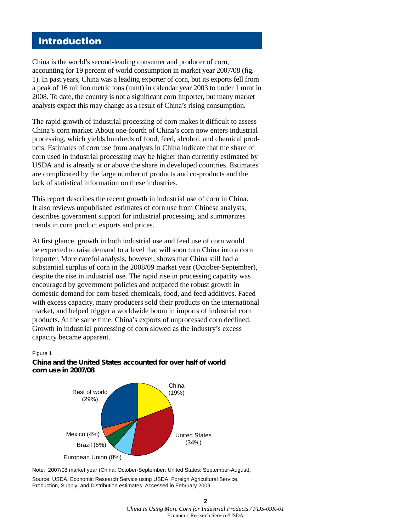### Introduction

China is the world's second-leading consumer and producer of corn, accounting for 19 percent of world consumption in market year 2007/08 (fig. 1). In past years, China was a leading exporter of corn, but its exports fell from a peak of 16 million metric tons (mmt) in calendar year 2003 to under 1 mmt in 2008. To date, the country is not a significant corn importer, but many market analysts expect this may change as a result of China's rising consumption.

The rapid growth of industrial processing of corn makes it difficult to assess China's corn market. About one-fourth of China's corn now enters industrial processing, which yields hundreds of food, feed, alcohol, and chemical products. Estimates of corn use from analysts in China indicate that the share of corn used in industrial processing may be higher than currently estimated by USDA and is already at or above the share in developed countries. Estimates are complicated by the large number of products and co-products and the lack of statistical information on these industries.

This report describes the recent growth in industrial use of corn in China. It also reviews unpublished estimates of corn use from Chinese analysts, describes government support for industrial processing, and summarizes trends in corn product exports and prices.

At first glance, growth in both industrial use and feed use of corn would be expected to raise demand to a level that will soon turn China into a corn importer. More careful analysis, however, shows that China still had a substantial surplus of corn in the 2008/09 market year (October-September), despite the rise in industrial use. The rapid rise in processing capacity was encouraged by government policies and outpaced the robust growth in domestic demand for corn-based chemicals, food, and feed additives. Faced with excess capacity, many producers sold their products on the international market, and helped trigger a worldwide boom in imports of industrial corn products. At the same time, China's exports of unprocessed corn declined. Growth in industrial processing of corn slowed as the industry's excess capacity became apparent.

#### Figure 1

### **China and the United States accounted for over half of world corn use in 2007/08**



Note: 2007/08 market year (China: October-September; United States: September-August). Source: USDA, Economic Research Service using USDA, Foreign Agricultural Service, Production, Supply, and Distribution estimates. Accessed in February 2009.

**2** *China Is Using More Corn for Industrial Products / FDS-09K-01* Economic Research Service/USDA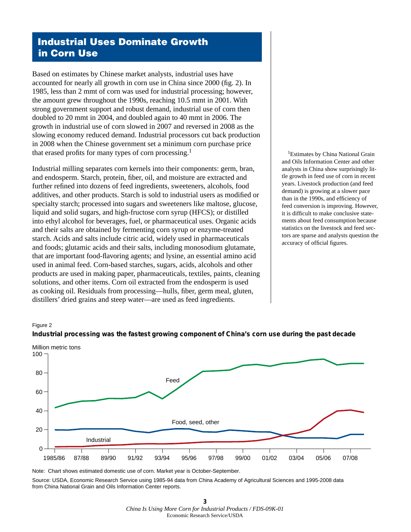# Industrial Uses Dominate Growth in Corn Use

Based on estimates by Chinese market analysts, industrial uses have accounted for nearly all growth in corn use in China since 2000 (fig. 2). In 1985, less than 2 mmt of corn was used for industrial processing; however, the amount grew throughout the 1990s, reaching 10.5 mmt in 2001. With strong government support and robust demand, industrial use of corn then doubled to 20 mmt in 2004, and doubled again to 40 mmt in 2006. The growth in industrial use of corn slowed in 2007 and reversed in 2008 as the slowing economy reduced demand. Industrial processors cut back production in 2008 when the Chinese government set a minimum corn purchase price that erased profits for many types of corn processing.<sup>1</sup>

Industrial milling separates corn kernels into their components: germ, bran, and endosperm. Starch, protein, fiber, oil, and moisture are extracted and further refined into dozens of feed ingredients, sweeteners, alcohols, food additives, and other products. Starch is sold to industrial users as modified or specialty starch; processed into sugars and sweeteners like maltose, glucose, liquid and solid sugars, and high-fructose corn syrup (HFCS); or distilled into ethyl alcohol for beverages, fuel, or pharmaceutical uses. Organic acids and their salts are obtained by fermenting corn syrup or enzyme-treated starch. Acids and salts include citric acid, widely used in pharmaceuticals and foods; glutamic acids and their salts, including monosodium glutamate, that are important food-flavoring agents; and lysine, an essential amino acid used in animal feed. Corn-based starches, sugars, acids, alcohols and other products are used in making paper, pharmaceuticals, textiles, paints, cleaning solutions, and other items. Corn oil extracted from the endosperm is used as cooking oil. Residuals from processing—hulls, fiber, germ meal, gluten, distillers' dried grains and steep water—are used as feed ingredients.

<sup>1</sup>Estimates by China National Grain and Oils Information Center and other analysts in China show surprisingly little growth in feed use of corn in recent years. Livestock production (and feed demand) is growing at a slower pace than in the 1990s, and efficiency of feed conversion is improving. However, it is difficult to make conclusive statements about feed consumption because statistics on the livestock and feed sectors are sparse and analysts question the accuracy of official figures.

#### Figure 2





Note: Chart shows estimated domestic use of corn. Market year is October-September.

Source: USDA, Economic Research Service using 1985-94 data from China Academy of Agricultural Sciences and 1995-2008 data from China National Grain and Oils Information Center reports.

> **3**  *China Is Using More Corn for Industrial Products / FDS-09K-01* Economic Research Service/USDA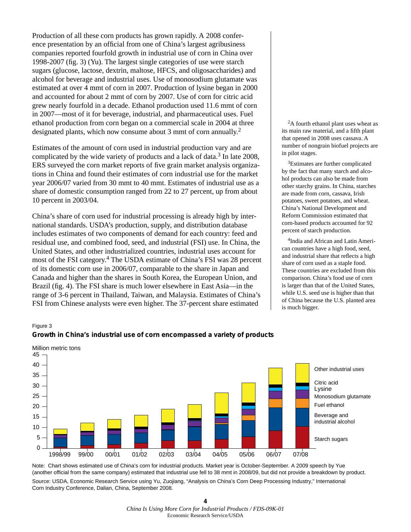Production of all these corn products has grown rapidly. A 2008 conference presentation by an official from one of China's largest agribusiness companies reported fourfold growth in industrial use of corn in China over 1998-2007 (fig. 3) (Yu). The largest single categories of use were starch sugars (glucose, lactose, dextrin, maltose, HFCS, and oligosaccharides) and alcohol for beverage and industrial uses. Use of monosodium glutamate was estimated at over 4 mmt of corn in 2007. Production of lysine began in 2000 and accounted for about 2 mmt of corn by 2007. Use of corn for citric acid grew nearly fourfold in a decade. Ethanol production used 11.6 mmt of corn in 2007—most of it for beverage, industrial, and pharmaceutical uses. Fuel ethanol production from corn began on a commercial scale in 2004 at three designated plants, which now consume about 3 mmt of corn annually.2

Estimates of the amount of corn used in industrial production vary and are complicated by the wide variety of products and a lack of data.<sup>3</sup> In late 2008, ERS surveyed the corn market reports of five grain market analysis organizations in China and found their estimates of corn industrial use for the market year 2006/07 varied from 30 mmt to 40 mmt. Estimates of industrial use as a share of domestic consumption ranged from 22 to 27 percent, up from about 10 percent in 2003/04.

China's share of corn used for industrial processing is already high by international standards. USDA's production, supply, and distribution database includes estimates of two components of demand for each country: feed and residual use, and combined food, seed, and industrial (FSI) use. In China, the United States, and other industrialized countries, industrial uses account for most of the FSI category.4 The USDA estimate of China's FSI was 28 percent of its domestic corn use in 2006/07, comparable to the share in Japan and Canada and higher than the shares in South Korea, the European Union, and Brazil (fig. 4). The FSI share is much lower elsewhere in East Asia—in the range of 3-6 percent in Thailand, Taiwan, and Malaysia. Estimates of China's FSI from Chinese analysts were even higher. The 37-percent share estimated

<sup>2</sup>A fourth ethanol plant uses wheat as its main raw material, and a fifth plant that opened in 2008 uses cassava. A number of nongrain biofuel projects are in pilot stages.

3Estimates are further complicated by the fact that many starch and alcohol products can also be made from other starchy grains. In China, starches are made from corn, cassava, Irish potatoes, sweet potatoes, and wheat. China's National Development and Reform Commission estimated that corn-based products accounted for 92 percent of starch production.

4India and African and Latin American countries have a high food, seed, and industrial share that reflects a high share of corn used as a staple food. These countries are excluded from this comparison. China's food use of corn is larger than that of the United States, while U.S. seed use is higher than that of China because the U.S. planted area is much bigger.

#### Figure 3





Note: Chart shows estimated use of China's corn for industrial products. Market year is October-September. A 2009 speech by Yue (another official from the same company) estimated that industrial use fell to 38 mmt in 2008/09, but did not provide a breakdown by product. Source: USDA, Economic Research Service using Yu, Zuojiang, "Analysis on China's Corn Deep Processing Industry," International Corn Industry Conference, Dalian, China, September 2008.

> **4** *China Is Using More Corn for Industrial Products / FDS-09K-01* Economic Research Service/USDA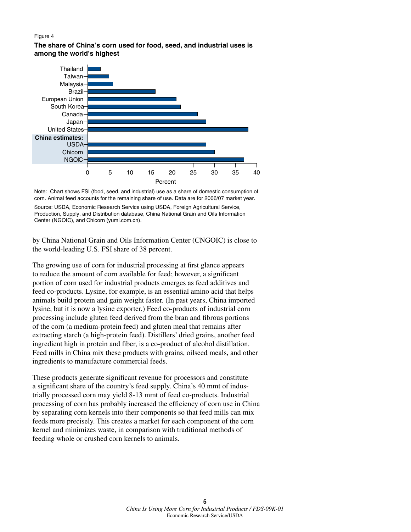#### Figure 4

**The share of China's corn used for food, seed, and industrial uses is among the world's highest**



Note: Chart shows FSI (food, seed, and industrial) use as a share of domestic consumption of corn. Animal feed accounts for the remaining share of use. Data are for 2006/07 market year.

Source: USDA, Economic Research Service using USDA, Foreign Agricultural Service, Production, Supply, and Distribution database, China National Grain and Oils Information Center (NGOIC), and Chicorn (yumi.com.cn).

by China National Grain and Oils Information Center (CNGOIC) is close to the world-leading U.S. FSI share of 38 percent.

The growing use of corn for industrial processing at first glance appears to reduce the amount of corn available for feed; however, a significant portion of corn used for industrial products emerges as feed additives and feed co-products. Lysine, for example, is an essential amino acid that helps animals build protein and gain weight faster. (In past years, China imported lysine, but it is now a lysine exporter.) Feed co-products of industrial corn processing include gluten feed derived from the bran and fibrous portions of the corn (a medium-protein feed) and gluten meal that remains after extracting starch (a high-protein feed). Distillers' dried grains, another feed ingredient high in protein and fiber, is a co-product of alcohol distillation. Feed mills in China mix these products with grains, oilseed meals, and other ingredients to manufacture commercial feeds.

These products generate significant revenue for processors and constitute a significant share of the country's feed supply. China's 40 mmt of industrially processed corn may yield 8-13 mmt of feed co-products. Industrial processing of corn has probably increased the efficiency of corn use in China by separating corn kernels into their components so that feed mills can mix feeds more precisely. This creates a market for each component of the corn kernel and minimizes waste, in comparison with traditional methods of feeding whole or crushed corn kernels to animals.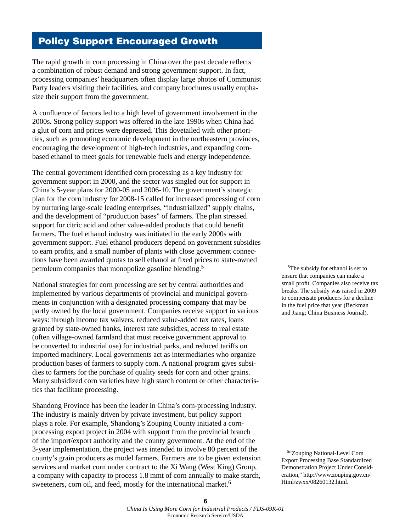# Policy Support Encouraged Growth

The rapid growth in corn processing in China over the past decade reflects a combination of robust demand and strong government support. In fact, processing companies' headquarters often display large photos of Communist Party leaders visiting their facilities, and company brochures usually emphasize their support from the government.

A confluence of factors led to a high level of government involvement in the 2000s. Strong policy support was offered in the late 1990s when China had a glut of corn and prices were depressed. This dovetailed with other priorities, such as promoting economic development in the northeastern provinces, encouraging the development of high-tech industries, and expanding cornbased ethanol to meet goals for renewable fuels and energy independence.

The central government identified corn processing as a key industry for government support in 2000, and the sector was singled out for support in China's 5-year plans for 2000-05 and 2006-10. The government's strategic plan for the corn industry for 2008-15 called for increased processing of corn by nurturing large-scale leading enterprises, "industrialized" supply chains, and the development of "production bases" of farmers. The plan stressed support for citric acid and other value-added products that could benefit farmers. The fuel ethanol industry was initiated in the early 2000s with government support. Fuel ethanol producers depend on government subsidies to earn profits, and a small number of plants with close government connections have been awarded quotas to sell ethanol at fixed prices to state-owned petroleum companies that monopolize gasoline blending.5

National strategies for corn processing are set by central authorities and implemented by various departments of provincial and municipal governments in conjunction with a designated processing company that may be partly owned by the local government. Companies receive support in various ways: through income tax waivers, reduced value-added tax rates, loans granted by state-owned banks, interest rate subsidies, access to real estate (often village-owned farmland that must receive government approval to be converted to industrial use) for industrial parks, and reduced tariffs on imported machinery. Local governments act as intermediaries who organize production bases of farmers to supply corn. A national program gives subsidies to farmers for the purchase of quality seeds for corn and other grains. Many subsidized corn varieties have high starch content or other characteristics that facilitate processing.

Shandong Province has been the leader in China's corn-processing industry. The industry is mainly driven by private investment, but policy support plays a role. For example, Shandong's Zouping County initiated a cornprocessing export project in 2004 with support from the provincial branch of the import/export authority and the county government. At the end of the 3-year implementation, the project was intended to involve 80 percent of the county's grain producers as model farmers. Farmers are to be given extension services and market corn under contract to the Xi Wang (West King) Group, a company with capacity to process 1.8 mmt of corn annually to make starch, sweeteners, corn oil, and feed, mostly for the international market.<sup>6</sup>

5The subsidy for ethanol is set to ensure that companies can make a small profit. Companies also receive tax breaks. The subsidy was raised in 2009 to compensate producers for a decline in the fuel price that year (Beckman and Jiang; China Business Journal).

<sup>6</sup>"Zouping National-Level Corn Export Processing Base Standardized Demonstration Project Under Consideration," http://www.zouping.gov.cn/ Html/zwxx/08260132.html.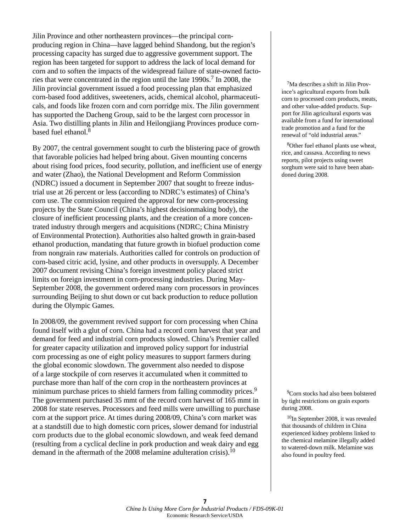Jilin Province and other northeastern provinces—the principal cornproducing region in China—have lagged behind Shandong, but the region's processing capacity has surged due to aggressive government support. The region has been targeted for support to address the lack of local demand for corn and to soften the impacts of the widespread failure of state-owned factories that were concentrated in the region until the late  $1990s$ .<sup>7</sup> In 2008, the Jilin provincial government issued a food processing plan that emphasized corn-based food additives, sweeteners, acids, chemical alcohol, pharmaceuticals, and foods like frozen corn and corn porridge mix. The Jilin government has supported the Dacheng Group, said to be the largest corn processor in Asia. Two distilling plants in Jilin and Heilongjiang Provinces produce cornbased fuel ethanol.<sup>8</sup>

By 2007, the central government sought to curb the blistering pace of growth that favorable policies had helped bring about. Given mounting concerns about rising food prices, food security, pollution, and inefficient use of energy and water (Zhao), the National Development and Reform Commission (NDRC) issued a document in September 2007 that sought to freeze industrial use at 26 percent or less (according to NDRC's estimates) of China's corn use. The commission required the approval for new corn-processing projects by the State Council (China's highest decisionmaking body), the closure of inefficient processing plants, and the creation of a more concentrated industry through mergers and acquisitions (NDRC; China Ministry of Environmental Protection). Authorities also halted growth in grain-based ethanol production, mandating that future growth in biofuel production come from nongrain raw materials. Authorities called for controls on production of corn-based citric acid, lysine, and other products in oversupply. A December 2007 document revising China's foreign investment policy placed strict limits on foreign investment in corn-processing industries. During May-September 2008, the government ordered many corn processors in provinces surrounding Beijing to shut down or cut back production to reduce pollution during the Olympic Games.

In 2008/09, the government revived support for corn processing when China found itself with a glut of corn. China had a record corn harvest that year and demand for feed and industrial corn products slowed. China's Premier called for greater capacity utilization and improved policy support for industrial corn processing as one of eight policy measures to support farmers during the global economic slowdown. The government also needed to dispose of a large stockpile of corn reserves it accumulated when it committed to purchase more than half of the corn crop in the northeastern provinces at minimum purchase prices to shield farmers from falling commodity prices.<sup>9</sup> The government purchased 35 mmt of the record corn harvest of 165 mmt in 2008 for state reserves. Processors and feed mills were unwilling to purchase corn at the support price. At times during 2008/09, China's corn market was at a standstill due to high domestic corn prices, slower demand for industrial corn products due to the global economic slowdown, and weak feed demand (resulting from a cyclical decline in pork production and weak dairy and egg demand in the aftermath of the 2008 melamine adulteration crisis).<sup>10</sup>

7Ma describes a shift in Jilin Province's agricultural exports from bulk corn to processed corn products, meats, and other value-added products. Support for Jilin agricultural exports was available from a fund for international trade promotion and a fund for the renewal of "old industrial areas."

<sup>8</sup>Other fuel ethanol plants use wheat, rice, and cassava. According to news reports, pilot projects using sweet sorghum were said to have been abandoned during 2008.

<sup>9</sup>Corn stocks had also been bolstered by tight restrictions on grain exports during 2008.

<sup>10</sup>In September 2008, it was revealed that thousands of children in China experienced kidney problems linked to the chemical melamine illegally added to watered-down milk. Melamine was also found in poultry feed.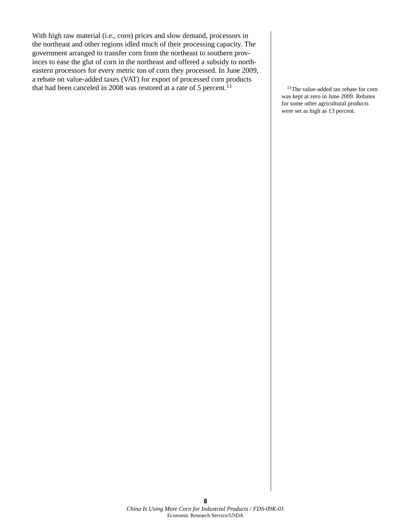With high raw material (i.e., corn) prices and slow demand, processors in the northeast and other regions idled much of their processing capacity. The government arranged to transfer corn from the northeast to southern provinces to ease the glut of corn in the northeast and offered a subsidy to northeastern processors for every metric ton of corn they processed. In June 2009, a rebate on value-added taxes (VAT) for export of processed corn products that had been canceled in 2008 was restored at a rate of 5 percent.<sup>11</sup>  $\frac{11}{11}$ The value-added tax rebate for corn

was kept at zero in June 2009. Rebates for some other agricultural products were set as high as 13 percent.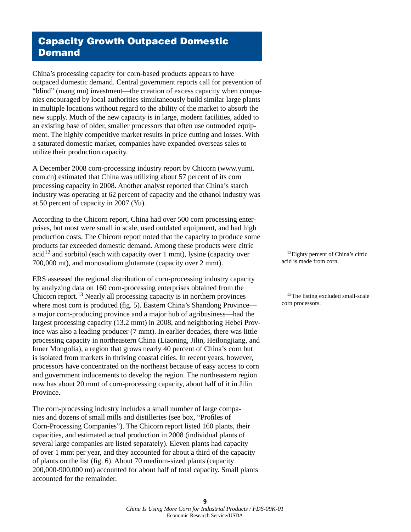# Capacity Growth Outpaced Domestic **Demand**

China's processing capacity for corn-based products appears to have outpaced domestic demand. Central government reports call for prevention of "blind" (mang mu) investment—the creation of excess capacity when companies encouraged by local authorities simultaneously build similar large plants in multiple locations without regard to the ability of the market to absorb the new supply. Much of the new capacity is in large, modern facilities, added to an existing base of older, smaller processors that often use outmoded equipment. The highly competitive market results in price cutting and losses. With a saturated domestic market, companies have expanded overseas sales to utilize their production capacity.

A December 2008 corn-processing industry report by Chicorn (www.yumi. com.cn) estimated that China was utilizing about 57 percent of its corn processing capacity in 2008. Another analyst reported that China's starch industry was operating at 62 percent of capacity and the ethanol industry was at 50 percent of capacity in 2007 (Yu).

According to the Chicorn report, China had over 500 corn processing enterprises, but most were small in scale, used outdated equipment, and had high production costs. The Chicorn report noted that the capacity to produce some products far exceeded domestic demand. Among these products were citric  $\alpha$  and sorbitol (each with capacity over 1 mmt), lysine (capacity over 700,000 mt), and monosodium glutamate (capacity over 2 mmt).

ERS assessed the regional distribution of corn-processing industry capacity by analyzing data on 160 corn-processing enterprises obtained from the Chicorn report.13 Nearly all processing capacity is in northern provinces where most corn is produced (fig. 5). Eastern China's Shandong Province a major corn-producing province and a major hub of agribusiness—had the largest processing capacity (13.2 mmt) in 2008, and neighboring Hebei Province was also a leading producer (7 mmt). In earlier decades, there was little processing capacity in northeastern China (Liaoning, Jilin, Heilongjiang, and Inner Mongolia), a region that grows nearly 40 percent of China's corn but is isolated from markets in thriving coastal cities. In recent years, however, processors have concentrated on the northeast because of easy access to corn and government inducements to develop the region. The northeastern region now has about 20 mmt of corn-processing capacity, about half of it in Jilin Province.

The corn-processing industry includes a small number of large companies and dozens of small mills and distilleries (see box, "Profiles of Corn-Processing Companies"). The Chicorn report listed 160 plants, their capacities, and estimated actual production in 2008 (individual plants of several large companies are listed separately). Eleven plants had capacity of over 1 mmt per year, and they accounted for about a third of the capacity of plants on the list (fig. 6). About 70 medium-sized plants (capacity 200,000-900,000 mt) accounted for about half of total capacity. Small plants accounted for the remainder.

<sup>12</sup>Eighty percent of China's citric acid is made from corn.

<sup>13</sup>The listing excluded small-scale corn processors.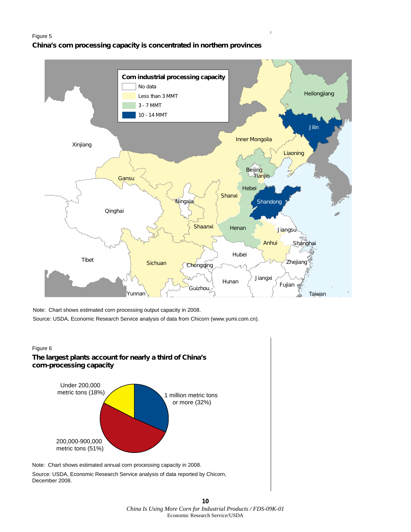#### Figure 5

#### **China's corn processing capacity is concentrated in northern provinces**



Note: Chart shows estimated corn processing output capacity in 2008.

Source: USDA, Economic Research Service analysis of data from Chicorn (www.yumi.com.cn).

### Figure 6 **The largest plants account for nearly a third of China's corn-processing capacity**



Source: USDA, Economic Research Service analysis of data reported by Chicorn, December 2008.

> **10** *China Is Using More Corn for Industrial Products / FDS-09K-01* Economic Research Service/USDA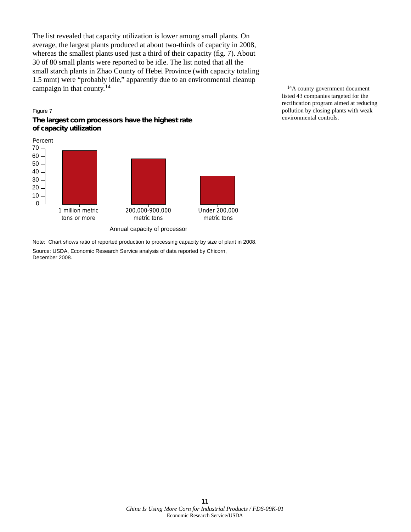The list revealed that capacity utilization is lower among small plants. On average, the largest plants produced at about two-thirds of capacity in 2008, whereas the smallest plants used just a third of their capacity (fig. 7). About 30 of 80 small plants were reported to be idle. The list noted that all the small starch plants in Zhao County of Hebei Province (with capacity totaling 1.5 mmt) were "probably idle," apparently due to an environmental cleanup campaign in that county.<sup>14</sup>  $^{14}A$  county government document

Figure 7



Note: Chart shows ratio of reported production to processing capacity by size of plant in 2008. Source: USDA, Economic Research Service analysis of data reported by Chicorn, December 2008.

listed 43 companies targeted for the rectification program aimed at reducing pollution by closing plants with weak environmental controls.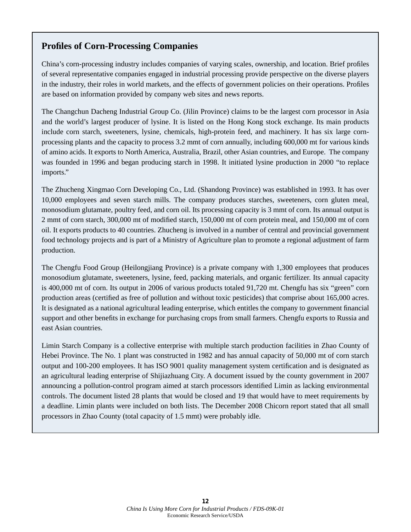### **Profiles of Corn-Processing Companies**

China's corn-processing industry includes companies of varying scales, ownership, and location. Brief profiles of several representative companies engaged in industrial processing provide perspective on the diverse players in the industry, their roles in world markets, and the effects of government policies on their operations. Profiles are based on information provided by company web sites and news reports.

The Changchun Dacheng Industrial Group Co. (Jilin Province) claims to be the largest corn processor in Asia and the world's largest producer of lysine. It is listed on the Hong Kong stock exchange. Its main products include corn starch, sweeteners, lysine, chemicals, high-protein feed, and machinery. It has six large cornprocessing plants and the capacity to process 3.2 mmt of corn annually, including 600,000 mt for various kinds of amino acids. It exports to North America, Australia, Brazil, other Asian countries, and Europe. The company was founded in 1996 and began producing starch in 1998. It initiated lysine production in 2000 "to replace imports."

The Zhucheng Xingmao Corn Developing Co., Ltd. (Shandong Province) was established in 1993. It has over 10,000 employees and seven starch mills. The company produces starches, sweeteners, corn gluten meal, monosodium glutamate, poultry feed, and corn oil. Its processing capacity is 3 mmt of corn. Its annual output is 2 mmt of corn starch, 300,000 mt of modified starch, 150,000 mt of corn protein meal, and 150,000 mt of corn oil. It exports products to 40 countries. Zhucheng is involved in a number of central and provincial government food technology projects and is part of a Ministry of Agriculture plan to promote a regional adjustment of farm production.

The Chengfu Food Group (Heilongjiang Province) is a private company with 1,300 employees that produces monosodium glutamate, sweeteners, lysine, feed, packing materials, and organic fertilizer. Its annual capacity is 400,000 mt of corn. Its output in 2006 of various products totaled 91,720 mt. Chengfu has six "green" corn production areas (certified as free of pollution and without toxic pesticides) that comprise about 165,000 acres. It is designated as a national agricultural leading enterprise, which entitles the company to government financial support and other benefits in exchange for purchasing crops from small farmers. Chengfu exports to Russia and east Asian countries.

Limin Starch Company is a collective enterprise with multiple starch production facilities in Zhao County of Hebei Province. The No. 1 plant was constructed in 1982 and has annual capacity of 50,000 mt of corn starch output and 100-200 employees. It has ISO 9001 quality management system certification and is designated as an agricultural leading enterprise of Shijiazhuang City. A document issued by the county government in 2007 announcing a pollution-control program aimed at starch processors identified Limin as lacking environmental controls. The document listed 28 plants that would be closed and 19 that would have to meet requirements by a deadline. Limin plants were included on both lists. The December 2008 Chicorn report stated that all small processors in Zhao County (total capacity of 1.5 mmt) were probably idle.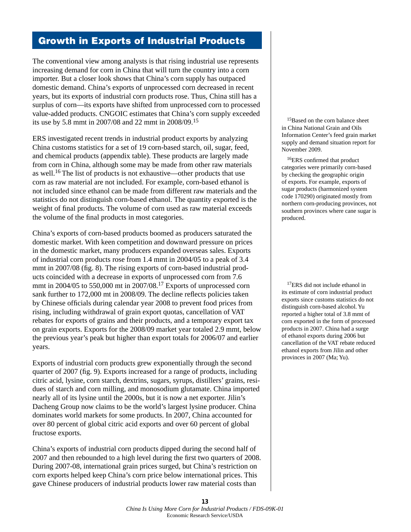### Growth in Exports of Industrial Products

The conventional view among analysts is that rising industrial use represents increasing demand for corn in China that will turn the country into a corn importer. But a closer look shows that China's corn supply has outpaced domestic demand. China's exports of unprocessed corn decreased in recent years, but its exports of industrial corn products rose. Thus, China still has a surplus of corn—its exports have shifted from unprocessed corn to processed value-added products. CNGOIC estimates that China's corn supply exceeded its use by 5.8 mmt in 2007/08 and 22 mmt in 2008/09.15

ERS investigated recent trends in industrial product exports by analyzing China customs statistics for a set of 19 corn-based starch, oil, sugar, feed, and chemical products (appendix table). These products are largely made from corn in China, although some may be made from other raw materials as well.16 The list of products is not exhaustive—other products that use corn as raw material are not included. For example, corn-based ethanol is not included since ethanol can be made from different raw materials and the statistics do not distinguish corn-based ethanol. The quantity exported is the weight of final products. The volume of corn used as raw material exceeds the volume of the final products in most categories.

China's exports of corn-based products boomed as producers saturated the domestic market. With keen competition and downward pressure on prices in the domestic market, many producers expanded overseas sales. Exports of industrial corn products rose from 1.4 mmt in 2004/05 to a peak of 3.4 mmt in 2007/08 (fig. 8). The rising exports of corn-based industrial products coincided with a decrease in exports of unprocessed corn from 7.6 mmt in 2004/05 to 550,000 mt in 2007/08.17 Exports of unprocessed corn sank further to 172,000 mt in 2008/09. The decline reflects policies taken by Chinese officials during calendar year 2008 to prevent food prices from rising, including withdrawal of grain export quotas, cancellation of VAT rebates for exports of grains and their products, and a temporary export tax on grain exports. Exports for the 2008/09 market year totaled 2.9 mmt, below the previous year's peak but higher than export totals for 2006/07 and earlier years.

Exports of industrial corn products grew exponentially through the second quarter of 2007 (fig. 9). Exports increased for a range of products, including citric acid, lysine, corn starch, dextrins, sugars, syrups, distillers' grains, residues of starch and corn milling, and monosodium glutamate. China imported nearly all of its lysine until the 2000s, but it is now a net exporter. Jilin's Dacheng Group now claims to be the world's largest lysine producer. China dominates world markets for some products. In 2007, China accounted for over 80 percent of global citric acid exports and over 60 percent of global fructose exports.

China's exports of industrial corn products dipped during the second half of 2007 and then rebounded to a high level during the first two quarters of 2008. During 2007-08, international grain prices surged, but China's restriction on corn exports helped keep China's corn price below international prices. This gave Chinese producers of industrial products lower raw material costs than

<sup>15</sup>Based on the corn balance sheet in China National Grain and Oils Information Center's feed grain market supply and demand situation report for November 2009.

16ERS confirmed that product categories were primarily corn-based by checking the geographic origin of exports. For example, exports of sugar products (harmonized system code 170290) originated mostly from northern corn-producing provinces, not southern provinces where cane sugar is produced.

<sup>17</sup>ERS did not include ethanol in its estimate of corn industrial product exports since customs statistics do not distinguish corn-based alcohol. Yu reported a higher total of 3.8 mmt of corn exported in the form of processed products in 2007. China had a surge of ethanol exports during 2006 but cancellation of the VAT rebate reduced ethanol exports from Jilin and other provinces in 2007 (Ma; Yu).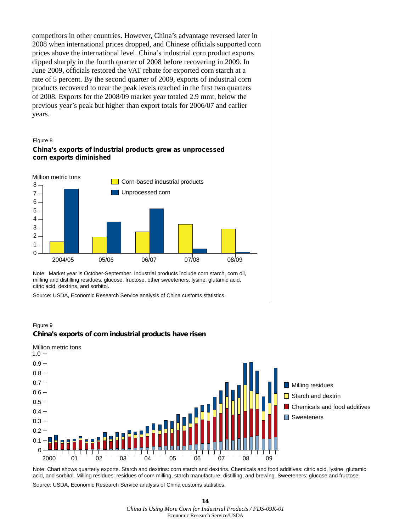competitors in other countries. However, China's advantage reversed later in 2008 when international prices dropped, and Chinese officials supported corn prices above the international level. China's industrial corn product exports dipped sharply in the fourth quarter of 2008 before recovering in 2009. In June 2009, officials restored the VAT rebate for exported corn starch at a rate of 5 percent. By the second quarter of 2009, exports of industrial corn products recovered to near the peak levels reached in the first two quarters of 2008. Exports for the 2008/09 market year totaled 2.9 mmt, below the previous year's peak but higher than export totals for 2006/07 and earlier years.



### **China's exports of industrial products grew as unprocessed corn exports diminished**



Note: Market year is October-September. Industrial products include corn starch, corn oil, milling and distilling residues, glucose, fructose, other sweeteners, lysine, glutamic acid, citric acid, dextrins, and sorbitol.

Source: USDA, Economic Research Service analysis of China customs statistics.

### Figure 9 **China's exports of corn industrial products have risen**



Note: Chart shows quarterly exports. Starch and dextrins: corn starch and dextrins. Chemicals and food additives: citric acid, lysine, glutamic acid, and sorbitol. Milling residues: residues of corn milling, starch manufacture, distilling, and brewing. Sweeteners: glucose and fructose. Source: USDA, Economic Research Service analysis of China customs statistics.

**14** *China Is Using More Corn for Industrial Products / FDS-09K-01* Economic Research Service/USDA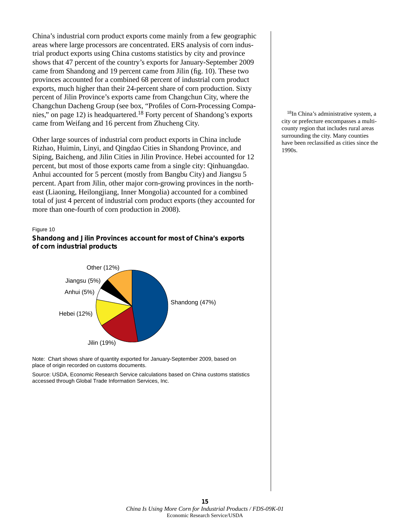China's industrial corn product exports come mainly from a few geographic areas where large processors are concentrated. ERS analysis of corn industrial product exports using China customs statistics by city and province shows that 47 percent of the country's exports for January-September 2009 came from Shandong and 19 percent came from Jilin (fig. 10). These two provinces accounted for a combined 68 percent of industrial corn product exports, much higher than their 24-percent share of corn production. Sixty percent of Jilin Province's exports came from Changchun City, where the Changchun Dacheng Group (see box, "Profiles of Corn-Processing Companies," on page 12) is headquartered.18 Forty percent of Shandong's exports came from Weifang and 16 percent from Zhucheng City.

Other large sources of industrial corn product exports in China include Rizhao, Huimin, Linyi, and Qingdao Cities in Shandong Province, and Siping, Baicheng, and Jilin Cities in Jilin Province. Hebei accounted for 12 percent, but most of those exports came from a single city: Qinhuangdao. Anhui accounted for 5 percent (mostly from Bangbu City) and Jiangsu 5 percent. Apart from Jilin, other major corn-growing provinces in the northeast (Liaoning, Heilongjiang, Inner Mongolia) accounted for a combined total of just 4 percent of industrial corn product exports (they accounted for more than one-fourth of corn production in 2008).

#### Figure 10

### **Shandong and Jilin Provinces account for most of China's exports of corn industrial products**





Source: USDA, Economic Research Service calculations based on China customs statistics accessed through Global Trade Information Services, Inc.

18In China's administrative system, a city or prefecture encompasses a multicounty region that includes rural areas surrounding the city. Many counties have been reclassified as cities since the 1990s.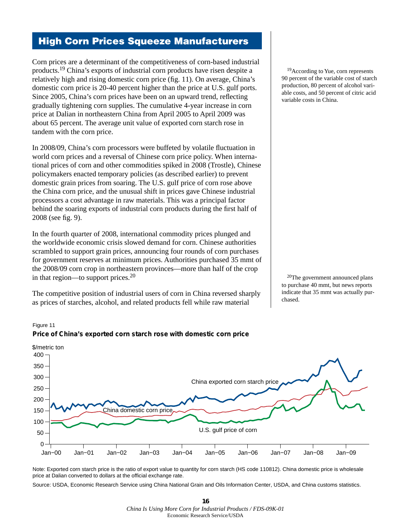# High Corn Prices Squeeze Manufacturers

Corn prices are a determinant of the competitiveness of corn-based industrial products.19 China's exports of industrial corn products have risen despite a relatively high and rising domestic corn price (fig. 11). On average, China's domestic corn price is 20-40 percent higher than the price at U.S. gulf ports. Since 2005, China's corn prices have been on an upward trend, reflecting gradually tightening corn supplies. The cumulative 4-year increase in corn price at Dalian in northeastern China from April 2005 to April 2009 was about 65 percent. The average unit value of exported corn starch rose in tandem with the corn price.

In 2008/09, China's corn processors were buffeted by volatile fluctuation in world corn prices and a reversal of Chinese corn price policy. When international prices of corn and other commodities spiked in 2008 (Trostle), Chinese policymakers enacted temporary policies (as described earlier) to prevent domestic grain prices from soaring. The U.S. gulf price of corn rose above the China corn price, and the unusual shift in prices gave Chinese industrial processors a cost advantage in raw materials. This was a principal factor behind the soaring exports of industrial corn products during the first half of 2008 (see fig. 9).

In the fourth quarter of 2008, international commodity prices plunged and the worldwide economic crisis slowed demand for corn. Chinese authorities scrambled to support grain prices, announcing four rounds of corn purchases for government reserves at minimum prices. Authorities purchased 35 mmt of the 2008/09 corn crop in northeastern provinces—more than half of the crop in that region—to support prices. $20$ 

The competitive position of industrial users of corn in China reversed sharply as prices of starches, alcohol, and related products fell while raw material

<sup>19</sup>According to Yue, corn represents 90 percent of the variable cost of starch production, 80 percent of alcohol variable costs, and 50 percent of citric acid variable costs in China.

20The government announced plans to purchase 40 mmt, but news reports indicate that 35 mmt was actually purchased.



Figure 11 **Price of China's exported corn starch rose with domestic corn price**

Note: Exported corn starch price is the ratio of export value to quantity for corn starch (HS code 110812). China domestic price is wholesale price at Dalian converted to dollars at the official exchange rate.

Source: USDA, Economic Research Service using China National Grain and Oils Information Center, USDA, and China customs statistics.

**<sup>16</sup>** *China Is Using More Corn for Industrial Products / FDS-09K-01* Economic Research Service/USDA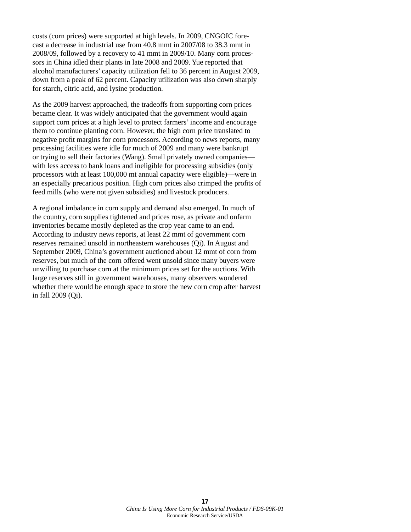costs (corn prices) were supported at high levels. In 2009, CNGOIC forecast a decrease in industrial use from 40.8 mmt in 2007/08 to 38.3 mmt in 2008/09, followed by a recovery to 41 mmt in 2009/10. Many corn processors in China idled their plants in late 2008 and 2009. Yue reported that alcohol manufacturers' capacity utilization fell to 36 percent in August 2009, down from a peak of 62 percent. Capacity utilization was also down sharply for starch, citric acid, and lysine production.

As the 2009 harvest approached, the tradeoffs from supporting corn prices became clear. It was widely anticipated that the government would again support corn prices at a high level to protect farmers' income and encourage them to continue planting corn. However, the high corn price translated to negative profit margins for corn processors. According to news reports, many processing facilities were idle for much of 2009 and many were bankrupt or trying to sell their factories (Wang). Small privately owned companies with less access to bank loans and ineligible for processing subsidies (only processors with at least 100,000 mt annual capacity were eligible)—were in an especially precarious position. High corn prices also crimped the profits of feed mills (who were not given subsidies) and livestock producers.

A regional imbalance in corn supply and demand also emerged. In much of the country, corn supplies tightened and prices rose, as private and onfarm inventories became mostly depleted as the crop year came to an end. According to industry news reports, at least 22 mmt of government corn reserves remained unsold in northeastern warehouses (Qi). In August and September 2009, China's government auctioned about 12 mmt of corn from reserves, but much of the corn offered went unsold since many buyers were unwilling to purchase corn at the minimum prices set for the auctions. With large reserves still in government warehouses, many observers wondered whether there would be enough space to store the new corn crop after harvest in fall 2009 (Qi).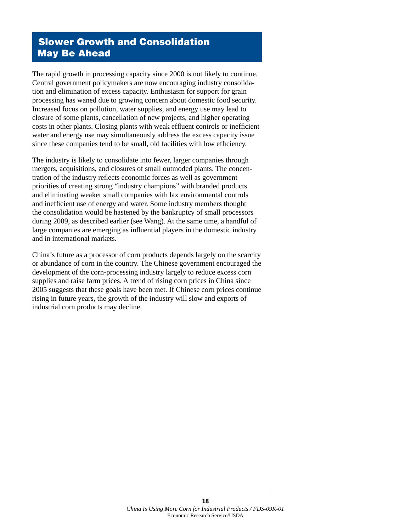# Slower Growth and Consolidation May Be Ahead

The rapid growth in processing capacity since 2000 is not likely to continue. Central government policymakers are now encouraging industry consolidation and elimination of excess capacity. Enthusiasm for support for grain processing has waned due to growing concern about domestic food security. Increased focus on pollution, water supplies, and energy use may lead to closure of some plants, cancellation of new projects, and higher operating costs in other plants. Closing plants with weak effluent controls or inefficient water and energy use may simultaneously address the excess capacity issue since these companies tend to be small, old facilities with low efficiency.

The industry is likely to consolidate into fewer, larger companies through mergers, acquisitions, and closures of small outmoded plants. The concentration of the industry reflects economic forces as well as government priorities of creating strong "industry champions" with branded products and eliminating weaker small companies with lax environmental controls and inefficient use of energy and water. Some industry members thought the consolidation would be hastened by the bankruptcy of small processors during 2009, as described earlier (see Wang). At the same time, a handful of large companies are emerging as influential players in the domestic industry and in international markets.

China's future as a processor of corn products depends largely on the scarcity or abundance of corn in the country. The Chinese government encouraged the development of the corn-processing industry largely to reduce excess corn supplies and raise farm prices. A trend of rising corn prices in China since 2005 suggests that these goals have been met. If Chinese corn prices continue rising in future years, the growth of the industry will slow and exports of industrial corn products may decline.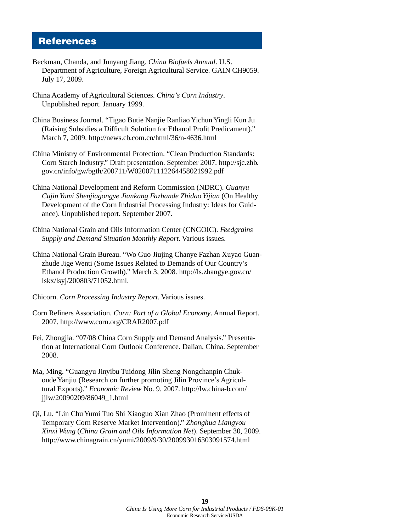# References

- Beckman, Chanda, and Junyang Jiang. *China Biofuels Annual*. U.S. Department of Agriculture, Foreign Agricultural Service. GAIN CH9059. July 17, 2009.
- China Academy of Agricultural Sciences. *China's Corn Industry*. Unpublished report. January 1999.
- China Business Journal. "Tigao Butie Nanjie Ranliao Yichun Yingli Kun Ju (Raising Subsidies a Difficult Solution for Ethanol Profit Predicament)." March 7, 2009. http://news.cb.com.cn/html/36/n-4636.html
- China Ministry of Environmental Protection. "Clean Production Standards: Corn Starch Industry." Draft presentation. September 2007. http://sjc.zhb. gov.cn/info/gw/bgth/200711/W020071112264458021992.pdf
- China National Development and Reform Commission (NDRC). *Guanyu Cujin Yumi Shenjiagongye Jiankang Fazhande Zhidao Yijian* (On Healthy Development of the Corn Industrial Processing Industry: Ideas for Guidance). Unpublished report. September 2007.
- China National Grain and Oils Information Center (CNGOIC). *Feedgrains Supply and Demand Situation Monthly Report*. Various issues.
- China National Grain Bureau. "Wo Guo Jiujing Chanye Fazhan Xuyao Guanzhude Jige Wenti (Some Issues Related to Demands of Our Country's Ethanol Production Growth)." March 3, 2008. http://ls.zhangye.gov.cn/ lskx/lsyj/200803/71052.html.
- Chicorn. *Corn Processing Industry Report*. Various issues.
- Corn Refiners Association. *Corn: Part of a Global Economy*. Annual Report. 2007. http://www.corn.org/CRAR2007.pdf
- Fei, Zhongjia. "07/08 China Corn Supply and Demand Analysis." Presentation at International Corn Outlook Conference. Dalian, China. September 2008.
- Ma, Ming. "Guangyu Jinyibu Tuidong Jilin Sheng Nongchanpin Chukoude Yanjiu (Research on further promoting Jilin Province's Agricultural Exports)." *Economic Review* No. 9. 2007. http://lw.china-b.com/ jjlw/20090209/86049\_1.html
- Qi, Lu. "Lin Chu Yumi Tuo Shi Xiaoguo Xian Zhao (Prominent effects of Temporary Corn Reserve Market Intervention)." *Zhonghua Liangyou Xinxi Wang* (*China Grain and Oils Information Net*). September 30, 2009. http://www.chinagrain.cn/yumi/2009/9/30/200993016303091574.html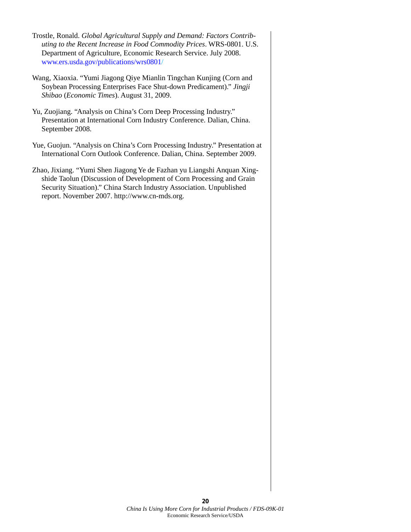- Trostle, Ronald. *Global Agricultural Supply and Demand: Factors Contributing to the Recent Increase in Food Commodity Prices*. WRS-0801. U.S. Department of Agriculture, Economic Research Service. July 2008. [www.ers.usda.gov/publications/wrs0801/](http://www.ers.usda.gov/publications/wrs0801/)
- Wang, Xiaoxia. "Yumi Jiagong Qiye Mianlin Tingchan Kunjing (Corn and Soybean Processing Enterprises Face Shut-down Predicament)." *Jingji Shibao* (*Economic Times*). August 31, 2009.
- Yu, Zuojiang. "Analysis on China's Corn Deep Processing Industry." Presentation at International Corn Industry Conference. Dalian, China. September 2008.
- Yue, Guojun. "Analysis on China's Corn Processing Industry." Presentation at International Corn Outlook Conference. Dalian, China. September 2009.
- Zhao, Jixiang. "Yumi Shen Jiagong Ye de Fazhan yu Liangshi Anquan Xingshide Taolun (Discussion of Development of Corn Processing and Grain Security Situation)." China Starch Industry Association. Unpublished report. November 2007. http://www.cn-mds.org.